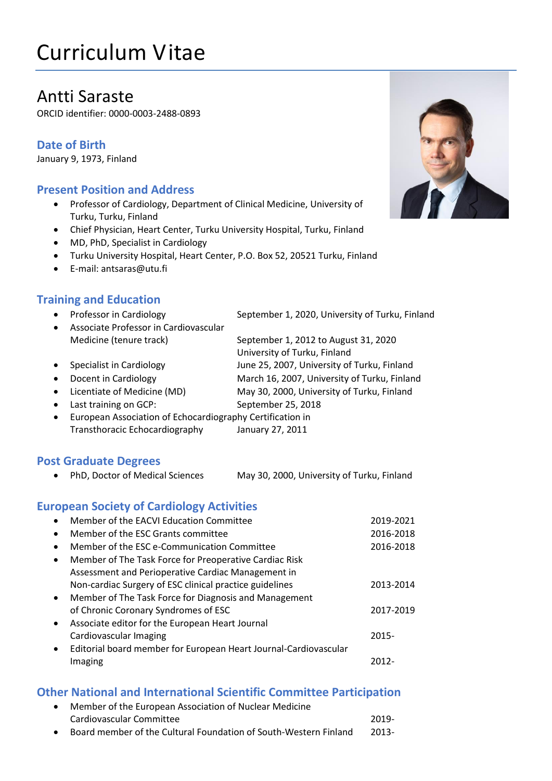# Curriculum Vitae

## Antti Saraste

ORCID identifier: 0000-0003-2488-0893

#### **Date of Birth**

January 9, 1973, Finland

#### **Present Position and Address**

- Professor of Cardiology, Department of Clinical Medicine, University of Turku, Turku, Finland
- Chief Physician, Heart Center, Turku University Hospital, Turku, Finland
- MD, PhD, Specialist in Cardiology
- Turku University Hospital, Heart Center, P.O. Box 52, 20521 Turku, Finland
- E-mail: antsaras@utu.fi

#### **Training and Education**

- Professor in Cardiology September 1, 2020, University of Turku, Finland
- Associate Professor in Cardiovascular Medicine (tenure track) September 1, 2012 to August 31, 2020
	- University of Turku, Finland
- Specialist in Cardiology June 25, 2007, University of Turku, Finland
- Docent in Cardiology March 16, 2007, University of Turku, Finland
- Licentiate of Medicine (MD) May 30, 2000, University of Turku, Finland
- Last training on GCP: September 25, 2018
- European Association of Echocardiography Certification in Transthoracic Echocardiography January 27, 2011

#### **Post Graduate Degrees**

PhD, Doctor of Medical Sciences May 30, 2000, University of Turku, Finland

#### **European Society of Cardiology Activities**

|           | Member of the EACVI Education Committee                          | 2019-2021 |
|-----------|------------------------------------------------------------------|-----------|
| $\bullet$ | Member of the ESC Grants committee                               | 2016-2018 |
| $\bullet$ | Member of the ESC e-Communication Committee                      | 2016-2018 |
| $\bullet$ | Member of The Task Force for Preoperative Cardiac Risk           |           |
|           | Assessment and Perioperative Cardiac Management in               |           |
|           | Non-cardiac Surgery of ESC clinical practice guidelines          | 2013-2014 |
| $\bullet$ | Member of The Task Force for Diagnosis and Management            |           |
|           | of Chronic Coronary Syndromes of ESC                             | 2017-2019 |
| $\bullet$ | Associate editor for the European Heart Journal                  |           |
|           | Cardiovascular Imaging                                           | $2015 -$  |
|           | Editorial board member for European Heart Journal-Cardiovascular |           |
|           | Imaging                                                          | 2012-     |
|           |                                                                  |           |

#### **Other National and International Scientific Committee Participation**

- Member of the European Association of Nuclear Medicine Cardiovascular Committee 2019-
- Board member of the Cultural Foundation of South-Western Finland 2013-

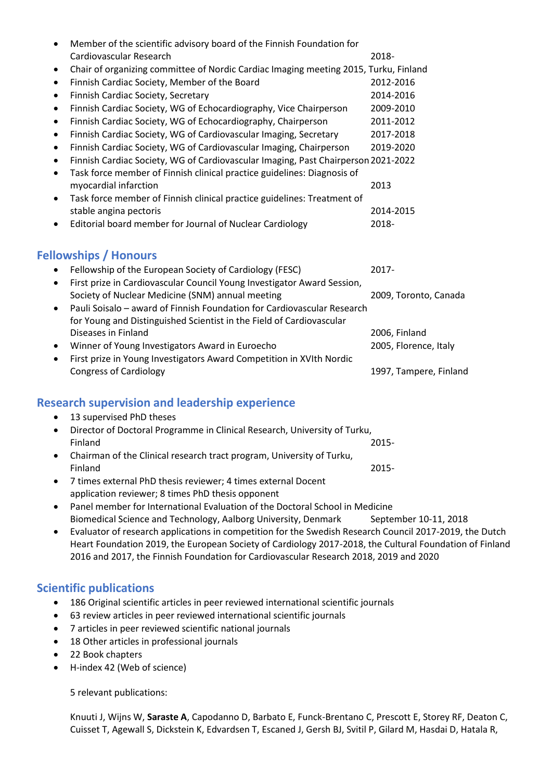|           | Member of the scientific advisory board of the Finnish Foundation for                |                       |  |  |
|-----------|--------------------------------------------------------------------------------------|-----------------------|--|--|
|           | Cardiovascular Research                                                              | 2018-                 |  |  |
| ٠         | Chair of organizing committee of Nordic Cardiac Imaging meeting 2015, Turku, Finland |                       |  |  |
| $\bullet$ | Finnish Cardiac Society, Member of the Board                                         | 2012-2016             |  |  |
| $\bullet$ | Finnish Cardiac Society, Secretary                                                   | 2014-2016             |  |  |
| ٠         | Finnish Cardiac Society, WG of Echocardiography, Vice Chairperson                    | 2009-2010             |  |  |
| ٠         | Finnish Cardiac Society, WG of Echocardiography, Chairperson                         | 2011-2012             |  |  |
| ٠         | Finnish Cardiac Society, WG of Cardiovascular Imaging, Secretary                     | 2017-2018             |  |  |
| ٠         | Finnish Cardiac Society, WG of Cardiovascular Imaging, Chairperson                   | 2019-2020             |  |  |
| ٠         | Finnish Cardiac Society, WG of Cardiovascular Imaging, Past Chairperson 2021-2022    |                       |  |  |
| ٠         | Task force member of Finnish clinical practice guidelines: Diagnosis of              |                       |  |  |
|           | myocardial infarction                                                                | 2013                  |  |  |
| $\bullet$ | Task force member of Finnish clinical practice guidelines: Treatment of              |                       |  |  |
|           | stable angina pectoris                                                               | 2014-2015             |  |  |
| ٠         | Editorial board member for Journal of Nuclear Cardiology                             | 2018-                 |  |  |
|           | <b>Fellowships / Honours</b>                                                         |                       |  |  |
|           | Fellowship of the European Society of Cardiology (FESC)                              | 2017-                 |  |  |
| $\bullet$ | First prize in Cardiovascular Council Young Investigator Award Session,              |                       |  |  |
|           | Society of Nuclear Medicine (SNM) annual meeting                                     | 2009, Toronto, Canada |  |  |
| ٠         | Pauli Soisalo - award of Finnish Foundation for Cardiovascular Research              |                       |  |  |
|           | for Young and Distinguished Scientist in the Field of Cardiovascular                 |                       |  |  |
|           | Diseases in Finland                                                                  | 2006, Finland         |  |  |
|           |                                                                                      |                       |  |  |

- Winner of Young Investigators Award in Euroecho 2005, Florence, Italy
- First prize in Young Investigators Award Competition in XVIth Nordic Congress of Cardiology 1997, Tampere, Finland

### **Research supervision and leadership experience**

- 13 supervised PhD theses
- Director of Doctoral Programme in Clinical Research, University of Turku, Finland 2015- Chairman of the Clinical research tract program, University of Turku,
- Finland 2015-
- 7 times external PhD thesis reviewer; 4 times external Docent application reviewer; 8 times PhD thesis opponent
- Panel member for International Evaluation of the Doctoral School in Medicine Biomedical Science and Technology, Aalborg University, Denmark September 10-11, 2018
- Evaluator of research applications in competition for the Swedish Research Council 2017-2019, the Dutch Heart Foundation 2019, the European Society of Cardiology 2017-2018, the Cultural Foundation of Finland 2016 and 2017, the Finnish Foundation for Cardiovascular Research 2018, 2019 and 2020

#### **Scientific publications**

- 186 Original scientific articles in peer reviewed international scientific journals
- 63 review articles in peer reviewed international scientific journals
- 7 articles in peer reviewed scientific national journals
- 18 Other articles in professional journals
- 22 Book chapters
- H-index 42 (Web of science)

5 relevant publications:

Knuuti J, Wijns W, **Saraste A**, Capodanno D, Barbato E, Funck-Brentano C, Prescott E, Storey RF, Deaton C, Cuisset T, Agewall S, Dickstein K, Edvardsen T, Escaned J, Gersh BJ, Svitil P, Gilard M, Hasdai D, Hatala R,